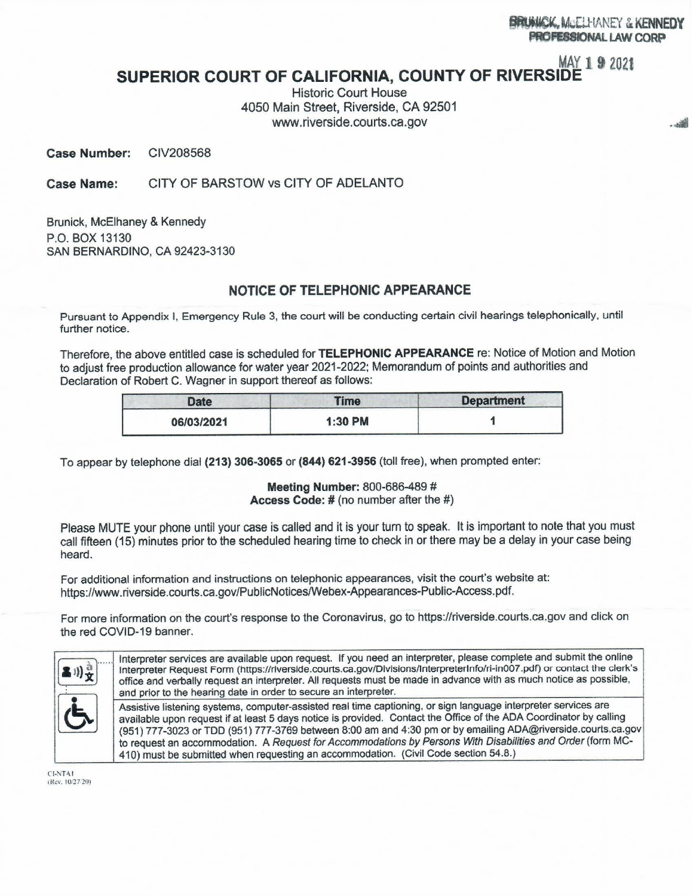# MAY 1 9 2021

التقارب

## SUPERIOR COURT OF CALIFORNIA, COUNTY OF RIVERSIDE

**Historic Court House** 4050 Main Street, Riverside, CA 92501 www.riverside.courts.ca.gov

**Case Number:** CIV208568

CITY OF BARSTOW vs CITY OF ADELANTO Case Name:

Brunick, McElhaney & Kennedy P.O. BOX 13130 **SAN BERNARDINO, CA 92423-3130** 

## NOTICE OF TELEPHONIC APPEARANCE

Pursuant to Appendix I, Emergency Rule 3, the court will be conducting certain civil hearings telephonically, until further notice.

Therefore, the above entitled case is scheduled for TELEPHONIC APPEARANCE re: Notice of Motion and Motion to adjust free production allowance for water year 2021-2022; Memorandum of points and authorities and Declaration of Robert C. Wagner in support thereof as follows:

| <b>Date</b> | <b>Time</b> | <b>Department</b> |
|-------------|-------------|-------------------|
| 06/03/2021  | 1:30 PM     |                   |

To appear by telephone dial (213) 306-3065 or (844) 621-3956 (toll free), when prompted enter:

Meeting Number: 800-686-489 # Access Code: # (no number after the #)

Please MUTE your phone until your case is called and it is your turn to speak. It is important to note that you must call fifteen (15) minutes prior to the scheduled hearing time to check in or there may be a delay in your case being heard.

For additional information and instructions on telephonic appearances, visit the court's website at: https://www.riverside.courts.ca.gov/PublicNotices/Webex-Appearances-Public-Access.pdf.

For more information on the court's response to the Coronavirus, go to https://riverside.courts.ca.gov and click on the red COVID-19 banner.



CI-NTA1 (Rev. 10/27/20)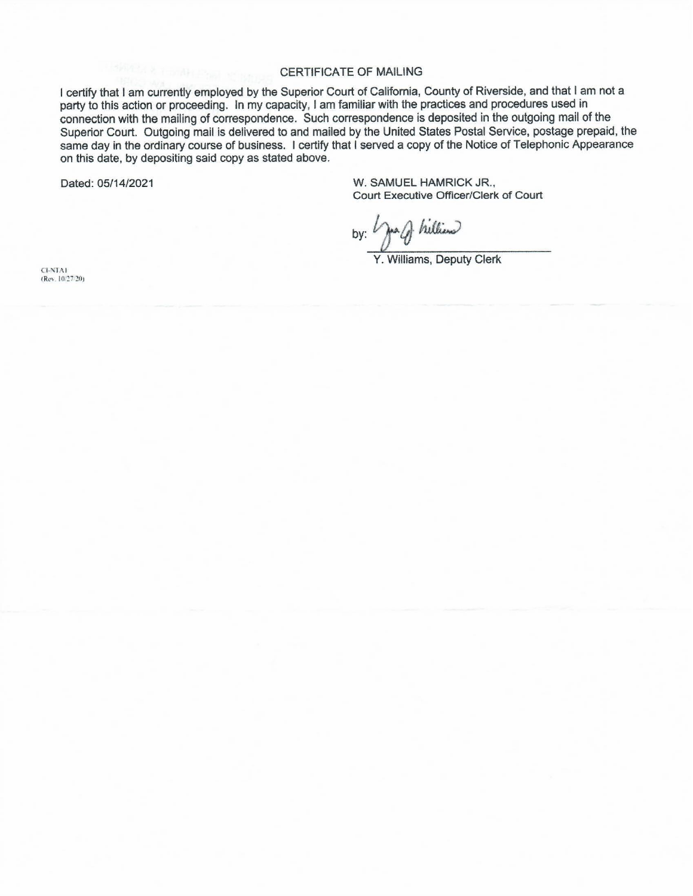#### **CERTIFICATE OF MAILING**

I certify that I am currently employed by the Superior Court of California, County of Riverside, and that I am not a party to this action or proceeding. In my capacity, I am familiar with the practices and procedures used in connection with the mailing of correspondence. Such correspondence is deposited in the outgoing mail of the Superior Court. Outgoing mail is delivered to and mailed by the United States Postal Service, postage prepaid, the same day in the ordinary course of business. I certify that I served a copy of the Notice of Telephonic Appearance on this date, by depositing said copy as stated above.

Dated: 05/14/2021

W. SAMUEL HAMRICK JR., Court Executive Officer/Clerk of Court

by: year hilliend

Y. Williams, Deputy Clerk

**CI-NTA1** (Rev. 10/27/20)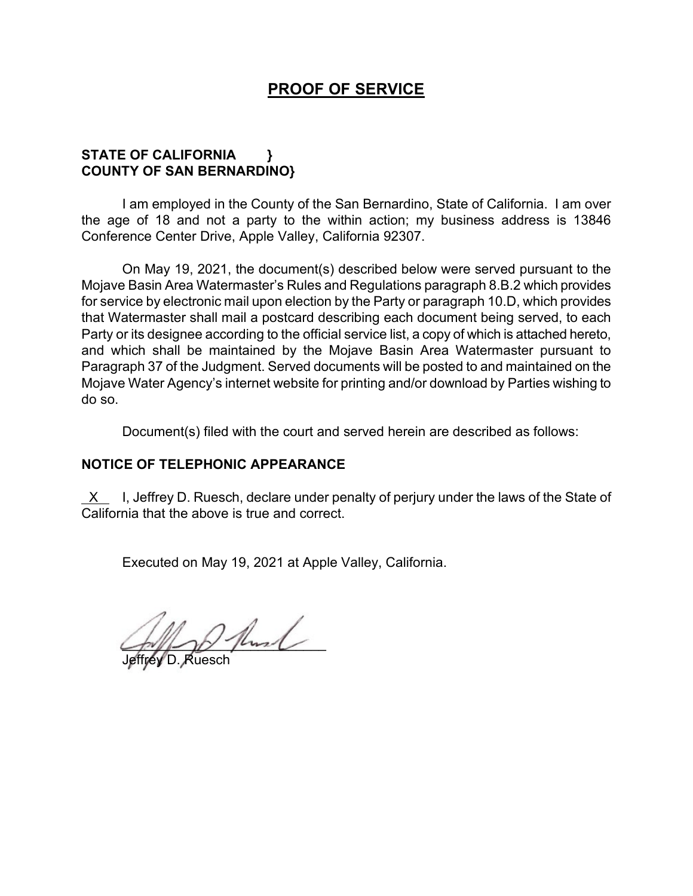## **PROOF OF SERVICE**

## **STATE OF CALIFORNIA } COUNTY OF SAN BERNARDINO}**

I am employed in the County of the San Bernardino, State of California. I am over the age of 18 and not a party to the within action; my business address is 13846 Conference Center Drive, Apple Valley, California 92307.

On May 19, 2021, the document(s) described below were served pursuant to the Mojave Basin Area Watermaster's Rules and Regulations paragraph 8.B.2 which provides for service by electronic mail upon election by the Party or paragraph 10.D, which provides that Watermaster shall mail a postcard describing each document being served, to each Party or its designee according to the official service list, a copy of which is attached hereto, and which shall be maintained by the Mojave Basin Area Watermaster pursuant to Paragraph 37 of the Judgment. Served documents will be posted to and maintained on the Mojave Water Agency's internet website for printing and/or download by Parties wishing to do so.

Document(s) filed with the court and served herein are described as follows:

## **NOTICE OF TELEPHONIC APPEARANCE**

X I, Jeffrey D. Ruesch, declare under penalty of perjury under the laws of the State of California that the above is true and correct.

Executed on May 19, 2021 at Apple Valley, California.

 $\sim$ 

Jeffrey D. Ruesch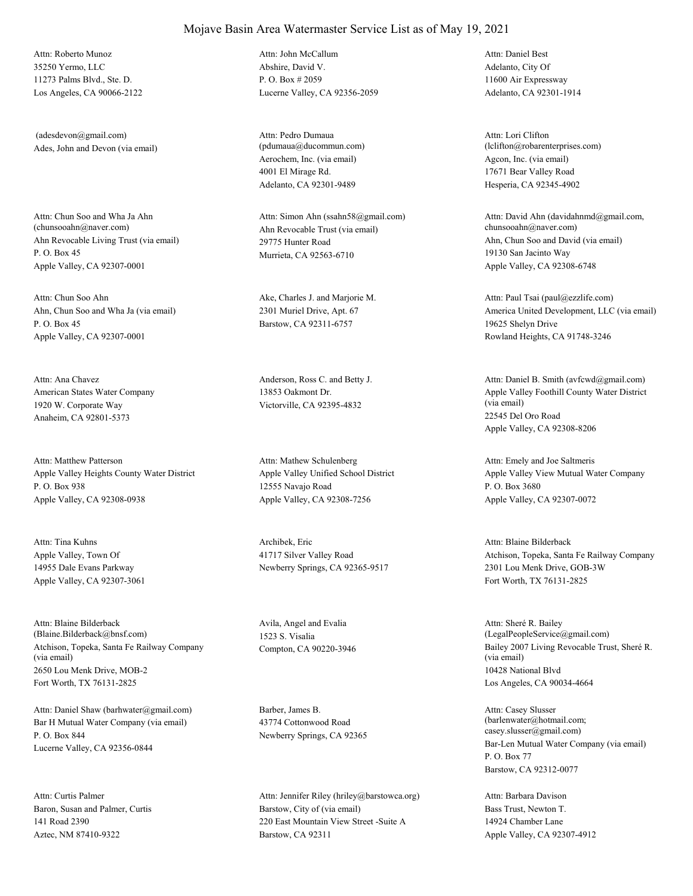35250 Yermo, LLC 11273 Palms Blvd., Ste. D. Los Angeles, CA 90066-2122 Attn: Roberto Munoz

Ades, John and Devon (via email) (adesdevon@gmail.com)

Ahn Revocable Living Trust (via email) P. O. Box 45 Apple Valley, CA 92307-0001 Attn: Chun Soo and Wha Ja Ahn<br>(chunsooahn@naver.com)

Ahn, Chun Soo and Wha Ja (via email) P. O. Box 45 Apple Valley, CA 92307-0001 Attn: Chun Soo Ahn Ake, Charles J. and Marjorie M.

American States Water Company 1920 W. Corporate Way Anaheim, CA 92801-5373 Attn: Ana Chavez **Anderson, Ross C.** and Betty J.

Apple Valley Heights County Water District P. O. Box 938 Apple Valley, CA 92308-0938 Attn: Matthew Patterson

Apple Valley, Town Of 14955 Dale Evans Parkway Apple Valley, CA 92307-3061 Attn: Tina Kuhns Archibek, Eric

Atchison, Topeka, Santa Fe Railway Company (via email) 2650 Lou Menk Drive, MOB-2 Fort Worth, TX 76131-2825 Attn: Blaine Bilderback (Blaine.Bilderback@bnsf.com)

Bar H Mutual Water Company (via email) P. O. Box 844 Lucerne Valley, CA 92356-0844 Attn: Daniel Shaw (barhwater@gmail.com) Barber, James B.

Baron, Susan and Palmer, Curtis 141 Road 2390 Aztec, NM 87410-9322 Attn: Curtis Palmer

Abshire, David V. P. O. Box # 2059 Lucerne Valley, CA 92356-2059 Attn: John McCallum

Aerochem, Inc. (via email) 4001 El Mirage Rd. Adelanto, CA 92301-9489 Attn: Pedro Dumaua (pdumaua@ducommun.com)

Ahn Revocable Trust (via email) 29775 Hunter Road Murrieta, CA 92563-6710 Attn: Simon Ahn (ssahn58@gmail.com)

2301 Muriel Drive, Apt. 67 Barstow, CA 92311-6757

13853 Oakmont Dr. Victorville, CA 92395-4832

Apple Valley Unified School District 12555 Navajo Road Apple Valley, CA 92308-7256 Attn: Mathew Schulenberg

41717 Silver Valley Road Newberry Springs, CA 92365-9517

Avila, Angel and Evalia 1523 S. Visalia

43774 Cottonwood Road Newberry Springs, CA 92365

Barstow, City of (via email) 220 East Mountain View Street -Suite A Barstow, CA 92311 Attn: Jennifer Riley (hriley@barstowca.org) Adelanto, City Of 11600 Air Expressway Adelanto, CA 92301-1914 Attn: Daniel Best

Agcon, Inc. (via email) 17671 Bear Valley Road Hesperia, CA 92345-4902 Attn: Lori Clifton (lclifton@robarenterprises.com)

Ahn, Chun Soo and David (via email) 19130 San Jacinto Way Apple Valley, CA 92308-6748 Attn: David Ahn (davidahnmd@gmail.com, chunsooahn@naver.com)

America United Development, LLC (via email) 19625 Shelyn Drive Rowland Heights, CA 91748-3246 Attn: Paul Tsai (paul@ezzlife.com)

Apple Valley Foothill County Water District (via email) 22545 Del Oro Road Apple Valley, CA 92308-8206 Attn: Daniel B. Smith (avfcwd@gmail.com)

Apple Valley View Mutual Water Company P. O. Box 3680 Apple Valley, CA 92307-0072 Attn: Emely and Joe Saltmeris

Atchison, Topeka, Santa Fe Railway Company 2301 Lou Menk Drive, GOB-3W Fort Worth, TX 76131-2825 Attn: Blaine Bilderback

Compton, CA 90220-3946 Bailey 2007 Living Revocable Trust, Sheré R. (via email) 10428 National Blvd Los Angeles, CA 90034-4664 Attn: Sheré R. Bailey (LegalPeopleService@gmail.com)

> Bar-Len Mutual Water Company (via email) P. O. Box 77 Barstow, CA 92312-0077 Attn: Casey Slusser (barlenwater@hotmail.com; casey.slusser@gmail.com)

Bass Trust, Newton T. 14924 Chamber Lane Apple Valley, CA 92307-4912 Attn: Barbara Davison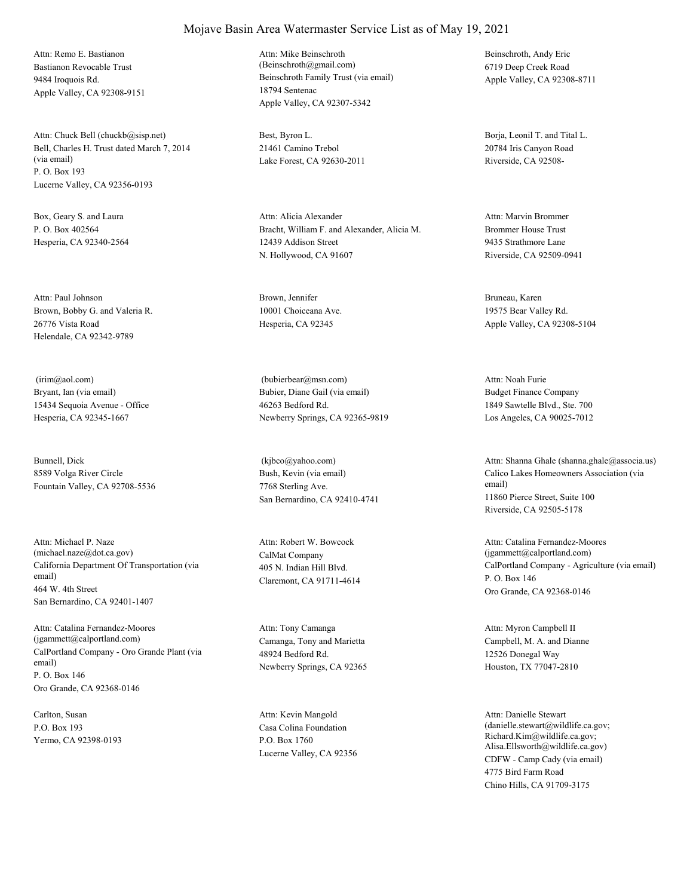Bastianon Revocable Trust 9484 Iroquois Rd. Apple Valley, CA 92308-9151 Attn: Remo E. Bastianon

Bell, Charles H. Trust dated March 7, 2014 (via email) P. O. Box 193 Lucerne Valley, CA 92356-0193 Attn: Chuck Bell (chuckb@sisp.net) Best, Byron L.

Box, Geary S. and Laura P. O. Box 402564 Hesperia, CA 92340-2564

Brown, Bobby G. and Valeria R. 26776 Vista Road Helendale, CA 92342-9789 Attn: Paul Johnson Brown, Jennifer

Bryant, Ian (via email) 15434 Sequoia Avenue - Office Hesperia, CA 92345-1667 (irim@aol.com)

Bunnell, Dick 8589 Volga River Circle Fountain Valley, CA 92708-5536

California Department Of Transportation (via email) 464 W. 4th Street San Bernardino, CA 92401-1407 Attn: Michael P. Naze (michael.naze@dot.ca.gov) CalMat Company

CalPortland Company - Oro Grande Plant (via email) P. O. Box 146 Oro Grande, CA 92368-0146 Attn: Catalina Fernandez-Moores (jgammett@calportland.com) Camanga, Tony and Marietta

Carlton, Susan P.O. Box 193 Yermo, CA 92398-0193 Beinschroth Family Trust (via email) 18794 Sentenac Apple Valley, CA 92307-5342 Attn: Mike Beinschroth (Beinschroth@gmail.com)

21461 Camino Trebol Lake Forest, CA 92630-2011

Bracht, William F. and Alexander, Alicia M. 12439 Addison Street N. Hollywood, CA 91607 Attn: Alicia Alexander

10001 Choiceana Ave. Hesperia, CA 92345

Bubier, Diane Gail (via email) 46263 Bedford Rd. Newberry Springs, CA 92365-9819 (bubierbear@msn.com)

Bush, Kevin (via email) 7768 Sterling Ave. San Bernardino, CA 92410-4741 (kjbco@yahoo.com)

405 N. Indian Hill Blvd. Claremont, CA 91711-4614 Attn: Robert W. Bowcock

48924 Bedford Rd. Newberry Springs, CA 92365 Attn: Tony Camanga

Casa Colina Foundation P.O. Box 1760 Lucerne Valley, CA 92356 Attn: Kevin Mangold

Beinschroth, Andy Eric 6719 Deep Creek Road Apple Valley, CA 92308-8711

Borja, Leonil T. and Tital L. 20784 Iris Canyon Road Riverside, CA 92508-

Brommer House Trust 9435 Strathmore Lane Riverside, CA 92509-0941 Attn: Marvin Brommer

Bruneau, Karen 19575 Bear Valley Rd. Apple Valley, CA 92308-5104

Budget Finance Company 1849 Sawtelle Blvd., Ste. 700 Los Angeles, CA 90025-7012 Attn: Noah Furie

Calico Lakes Homeowners Association (via email) 11860 Pierce Street, Suite 100 Riverside, CA 92505-5178 Attn: Shanna Ghale (shanna.ghale@associa.us)

CalPortland Company - Agriculture (via email) P. O. Box 146 Oro Grande, CA 92368-0146 Attn: Catalina Fernandez-Moores (jgammett@calportland.com)

Campbell, M. A. and Dianne 12526 Donegal Way Houston, TX 77047-2810 Attn: Myron Campbell II

CDFW - Camp Cady (via email) 4775 Bird Farm Road Chino Hills, CA 91709-3175 Attn: Danielle Stewart (danielle.stewart@wildlife.ca.gov; Richard.Kim@wildlife.ca.gov; Alisa.Ellsworth@wildlife.ca.gov)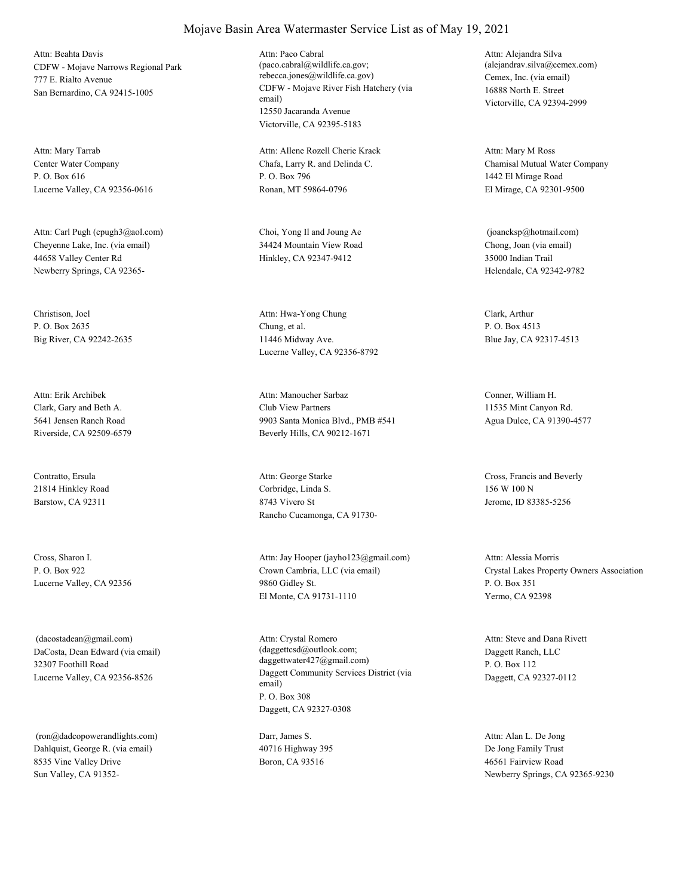CDFW - Mojave Narrows Regional Park 777 E. Rialto Avenue San Bernardino, CA 92415-1005 Attn: Beahta Davis

Center Water Company P. O. Box 616 Lucerne Valley, CA 92356-0616 Attn: Mary Tarrab

Cheyenne Lake, Inc. (via email) 44658 Valley Center Rd Newberry Springs, CA 92365- Attn: Carl Pugh (cpugh3@aol.com) Choi, Yong Il and Joung Ae

Christison, Joel P. O. Box 2635 Big River, CA 92242-2635

Clark, Gary and Beth A. 5641 Jensen Ranch Road Riverside, CA 92509-6579 Attn: Erik Archibek

Contratto, Ersula 21814 Hinkley Road Barstow, CA 92311

Cross, Sharon I. P. O. Box 922 Lucerne Valley, CA 92356

DaCosta, Dean Edward (via email) 32307 Foothill Road Lucerne Valley, CA 92356-8526 (dacostadean@gmail.com)

Dahlquist, George R. (via email) 8535 Vine Valley Drive Sun Valley, CA 91352- (ron@dadcopowerandlights.com) Darr, James S.

#### CDFW - Mojave River Fish Hatchery (via email) 12550 Jacaranda Avenue Attn: Paco Cabral (paco.cabral@wildlife.ca.gov; rebecca.jones@wildlife.ca.gov) Cemex, Inc. (via email)

Chafa, Larry R. and Delinda C. P. O. Box 796 Ronan, MT 59864-0796 Attn: Allene Rozell Cherie Krack

Victorville, CA 92395-5183

34424 Mountain View Road Hinkley, CA 92347-9412

Chung, et al. 11446 Midway Ave. Lucerne Valley, CA 92356-8792 Attn: Hwa-Yong Chung Clark, Arthur

Club View Partners 9903 Santa Monica Blvd., PMB #541 Beverly Hills, CA 90212-1671 Attn: Manoucher Sarbaz Conner, William H.

Corbridge, Linda S. 8743 Vivero St Rancho Cucamonga, CA 91730- Attn: George Starke Cross, Francis and Beverly

Crown Cambria, LLC (via email) 9860 Gidley St. El Monte, CA 91731-1110 Attn: Jay Hooper (jayho123@gmail.com)

Daggett Community Services District (via email) P. O. Box 308 Daggett, CA 92327-0308 Attn: Crystal Romero (daggettcsd@outlook.com; daggettwater427@gmail.com)

40716 Highway 395 Boron, CA 93516

16888 North E. Street Victorville, CA 92394-2999 Attn: Alejandra Silva (alejandrav.silva@cemex.com)

Chamisal Mutual Water Company 1442 El Mirage Road El Mirage, CA 92301-9500 Attn: Mary M Ross

Chong, Joan (via email) 35000 Indian Trail Helendale, CA 92342-9782 (joancksp@hotmail.com)

P. O. Box 4513 Blue Jay, CA 92317-4513

11535 Mint Canyon Rd. Agua Dulce, CA 91390-4577

156 W 100 N Jerome, ID 83385-5256

Crystal Lakes Property Owners Association P. O. Box 351 Yermo, CA 92398 Attn: Alessia Morris

Daggett Ranch, LLC P. O. Box 112 Daggett, CA 92327-0112 Attn: Steve and Dana Rivett

De Jong Family Trust 46561 Fairview Road Newberry Springs, CA 92365-9230 Attn: Alan L. De Jong

## Mojave Basin Area Watermaster Service List as of May 19, 2021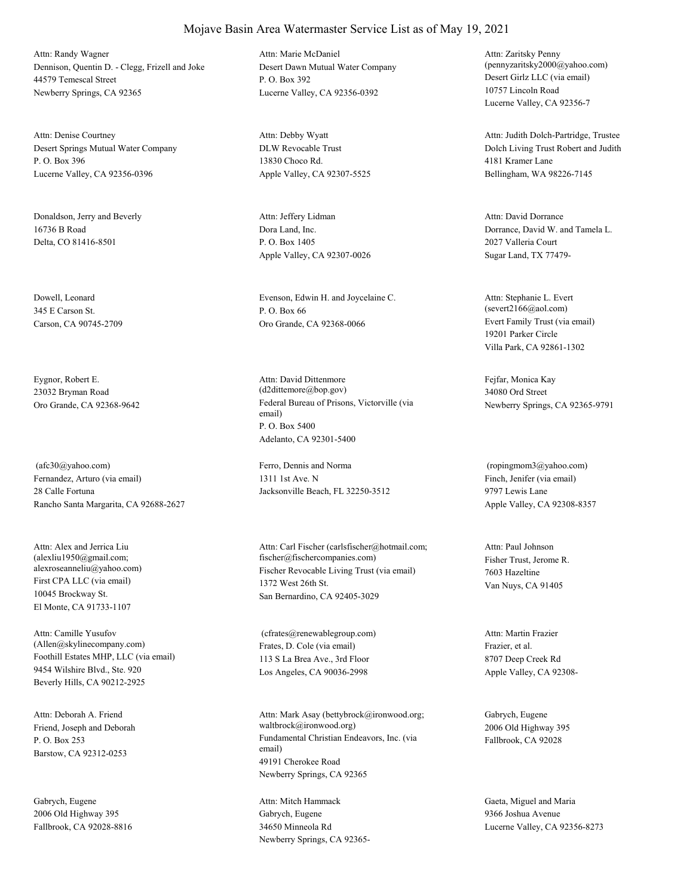Dennison, Quentin D. - Clegg, Frizell and Joke 44579 Temescal Street Newberry Springs, CA 92365 Attn: Randy Wagner

Desert Springs Mutual Water Company P. O. Box 396 Lucerne Valley, CA 92356-0396 Attn: Denise Courtney

Donaldson, Jerry and Beverly 16736 B Road Delta, CO 81416-8501

Dowell, Leonard 345 E Carson St. Carson, CA 90745-2709

Eygnor, Robert E. 23032 Bryman Road

Fernandez, Arturo (via email) 28 Calle Fortuna Rancho Santa Margarita, CA 92688-2627 (afc30@yahoo.com) Ferro, Dennis and Norma

First CPA LLC (via email) 10045 Brockway St. El Monte, CA 91733-1107 Attn: Alex and Jerrica Liu (alexliu1950@gmail.com;

Foothill Estates MHP, LLC (via email) 9454 Wilshire Blvd., Ste. 920 Beverly Hills, CA 90212-2925 Attn: Camille Yusufov (Allen@skylinecompany.com) Frates, D. Cole (via email)

Friend, Joseph and Deborah P. O. Box 253 Barstow, CA 92312-0253 Attn: Deborah A. Friend

Gabrych, Eugene 2006 Old Highway 395 Fallbrook, CA 92028-8816 Desert Dawn Mutual Water Company P. O. Box 392 Lucerne Valley, CA 92356-0392 Attn: Marie McDaniel

DLW Revocable Trust 13830 Choco Rd. Apple Valley, CA 92307-5525 Attn: Debby Wyatt

Dora Land, Inc. P. O. Box 1405 Apple Valley, CA 92307-0026 Attn: Jeffery Lidman

Evenson, Edwin H. and Joycelaine C. P. O. Box 66 Oro Grande, CA 92368-0066 Evert Family Trust (via email)

Oro Grande, CA 92368-9642 Federal Bureau of Prisons, Victorville (via email) P. O. Box 5400 Adelanto, CA 92301-5400 Attn: David Dittenmore (d2dittemore@bop.gov)

> 1311 1st Ave. N Jacksonville Beach, FL 32250-3512

alexroseanneliu@yahoo.com) Fischer Revocable Living Trust (via email) 1372 West 26th St. San Bernardino, CA 92405-3029 Attn: Carl Fischer (carlsfischer@hotmail.com; fischer@fischercompanies.com) Fisher Trust, Jerome R.

> 113 S La Brea Ave., 3rd Floor Los Angeles, CA 90036-2998 (cfrates@renewablegroup.com)

Fundamental Christian Endeavors, Inc. (via email) 49191 Cherokee Road Newberry Springs, CA 92365 Attn: Mark Asay (bettybrock@ironwood.org; waltbrock@ironwood.org)

Gabrych, Eugene 34650 Minneola Rd Newberry Springs, CA 92365Desert Girlz LLC (via email) 10757 Lincoln Road Lucerne Valley, CA 92356-7 Attn: Zaritsky Penny (pennyzaritsky2000@yahoo.com)

Dolch Living Trust Robert and Judith 4181 Kramer Lane Bellingham, WA 98226-7145 Attn: Judith Dolch-Partridge, Trustee

Dorrance, David W. and Tamela L. 2027 Valleria Court Sugar Land, TX 77479- Attn: David Dorrance

19201 Parker Circle Villa Park, CA 92861-1302 Attn: Stephanie L. Evert (severt2166@aol.com)

Fejfar, Monica Kay 34080 Ord Street Newberry Springs, CA 92365-9791

Finch, Jenifer (via email) 9797 Lewis Lane Apple Valley, CA 92308-8357 (ropingmom3@yahoo.com)

7603 Hazeltine Van Nuys, CA 91405 Attn: Paul Johnson

Frazier, et al. 8707 Deep Creek Rd Apple Valley, CA 92308- Attn: Martin Frazier

Gabrych, Eugene 2006 Old Highway 395 Fallbrook, CA 92028

Attn: Mitch Hammack Gaeta, Miguel and Maria 9366 Joshua Avenue Lucerne Valley, CA 92356-8273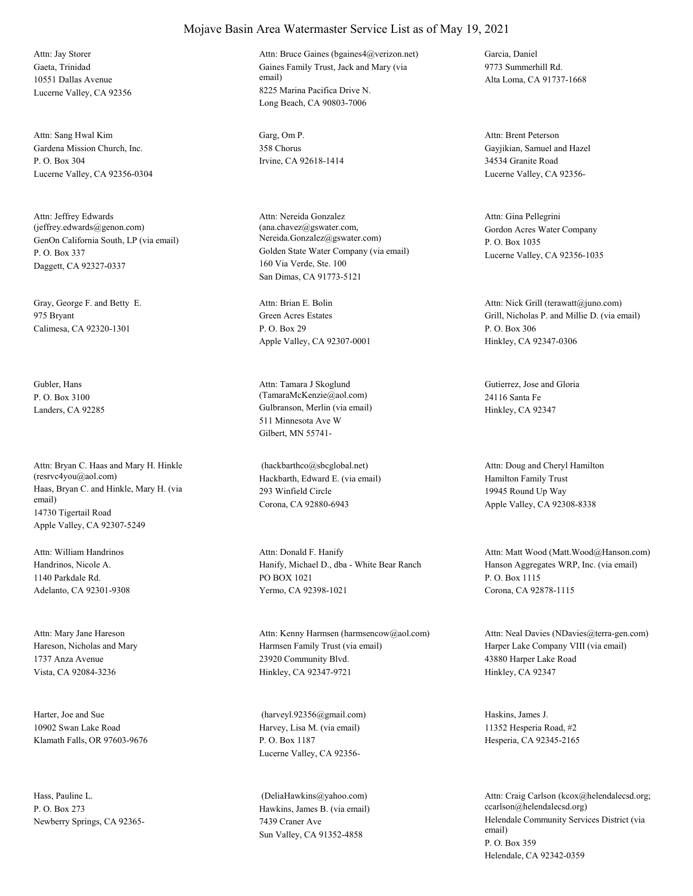Gaeta, Trinidad 10551 Dallas Avenue Lucerne Valley, CA 92356 Attn: Jay Storer

Gardena Mission Church, Inc. P. O. Box 304 Lucerne Valley, CA 92356-0304 Attn: Sang Hwal Kim Garg, Om P.

GenOn California South, LP (via email) P. O. Box 337 Daggett, CA 92327-0337 Attn: Jeffrey Edwards (jeffrey.edwards@genon.com)

Gray, George F. and Betty E. 975 Bryant Calimesa, CA 92320-1301

Gubler, Hans P. O. Box 3100

Haas, Bryan C. and Hinkle, Mary H. (via email) 14730 Tigertail Road Apple Valley, CA 92307-5249 Attn: Bryan C. Haas and Mary H. Hinkle (resrvc4you@aol.com) Hackbarth, Edward E. (via email)

Handrinos, Nicole A. 1140 Parkdale Rd. Adelanto, CA 92301-9308 Attn: William Handrinos

Hareson, Nicholas and Mary 1737 Anza Avenue Vista, CA 92084-3236 Attn: Mary Jane Hareson

Harter, Joe and Sue 10902 Swan Lake Road Klamath Falls, OR 97603-9676

Hass, Pauline L. P. O. Box 273 Newberry Springs, CA 92365-

#### Mojave Basin Area Watermaster Service List as of May 19, 2021

Gaines Family Trust, Jack and Mary (via email) 8225 Marina Pacifica Drive N. Long Beach, CA 90803-7006 Attn: Bruce Gaines (bgaines4@verizon.net) Garcia, Daniel

358 Chorus Irvine, CA 92618-1414

Golden State Water Company (via email) 160 Via Verde, Ste. 100 San Dimas, CA 91773-5121 Attn: Nereida Gonzalez (ana.chavez@gswater.com, Nereida.Gonzalez@gswater.com)

Green Acres Estates P. O. Box 29 Apple Valley, CA 92307-0001 Attn: Brian E. Bolin

Landers, CA 92285 Gulbranson, Merlin (via email) 511 Minnesota Ave W Gilbert, MN 55741- Attn: Tamara J Skoglund (TamaraMcKenzie@aol.com)

> 293 Winfield Circle Corona, CA 92880-6943 (hackbarthco@sbcglobal.net)

Hanify, Michael D., dba - White Bear Ranch PO BOX 1021 Yermo, CA 92398-1021 Attn: Donald F. Hanify

Harmsen Family Trust (via email) 23920 Community Blvd. Hinkley, CA 92347-9721 Attn: Kenny Harmsen (harmsencow@aol.com)

Harvey, Lisa M. (via email) P. O. Box 1187 Lucerne Valley, CA 92356- (harveyl.92356@gmail.com) Haskins, James J.

Hawkins, James B. (via email) 7439 Craner Ave Sun Valley, CA 91352-4858 (DeliaHawkins@yahoo.com)

9773 Summerhill Rd. Alta Loma, CA 91737-1668

Gayjikian, Samuel and Hazel 34534 Granite Road Lucerne Valley, CA 92356- Attn: Brent Peterson

Gordon Acres Water Company P. O. Box 1035 Lucerne Valley, CA 92356-1035 Attn: Gina Pellegrini

Grill, Nicholas P. and Millie D. (via email) P. O. Box 306 Hinkley, CA 92347-0306 Attn: Nick Grill (terawatt@juno.com)

Gutierrez, Jose and Gloria 24116 Santa Fe Hinkley, CA 92347

Hamilton Family Trust 19945 Round Up Way Apple Valley, CA 92308-8338 Attn: Doug and Cheryl Hamilton

Hanson Aggregates WRP, Inc. (via email) P. O. Box 1115 Corona, CA 92878-1115 Attn: Matt Wood (Matt.Wood@Hanson.com)

Harper Lake Company VIII (via email) 43880 Harper Lake Road Hinkley, CA 92347 Attn: Neal Davies (NDavies@terra-gen.com)

11352 Hesperia Road, #2 Hesperia, CA 92345-2165

Helendale Community Services District (via email) P. O. Box 359 Helendale, CA 92342-0359 Attn: Craig Carlson (kcox@helendalecsd.org; ccarlson@helendalecsd.org)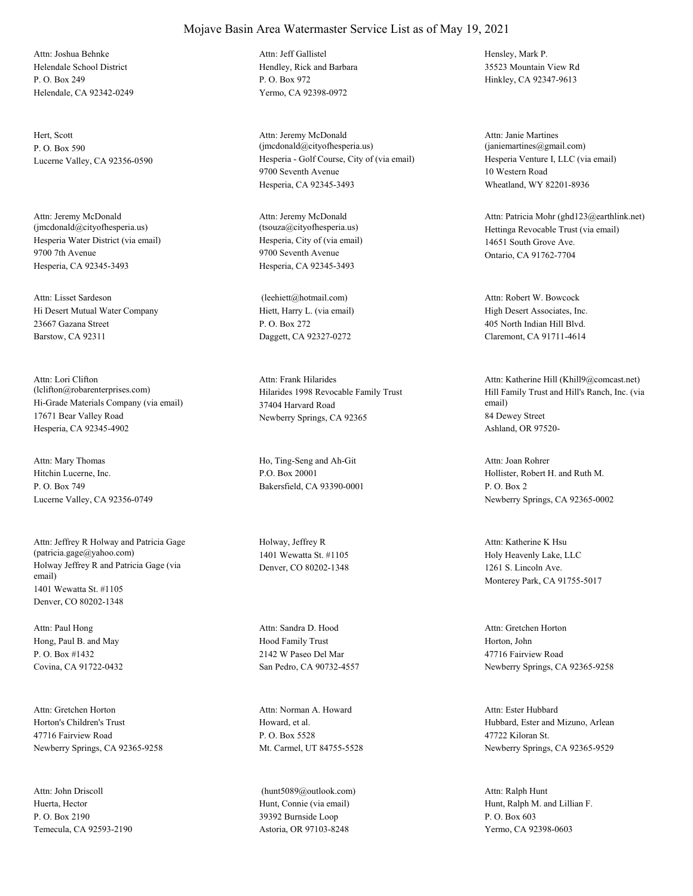Helendale School District P. O. Box 249 Helendale, CA 92342-0249 Attn: Joshua Behnke

Hert, Scott P. O. Box 590

Hesperia Water District (via email) 9700 7th Avenue Hesperia, CA 92345-3493 Attn: Jeremy McDonald (jmcdonald@cityofhesperia.us)

Hi Desert Mutual Water Company 23667 Gazana Street Barstow, CA 92311 Attn: Lisset Sardeson

Hi-Grade Materials Company (via email) 17671 Bear Valley Road Hesperia, CA 92345-4902 Attn: Lori Clifton (lclifton@robarenterprises.com) Hilarides 1998 Revocable Family Trust

Hitchin Lucerne, Inc. P. O. Box 749 Lucerne Valley, CA 92356-0749 Attn: Mary Thomas Ho, Ting-Seng and Ah-Git

Holway Jeffrey R and Patricia Gage (via email) 1401 Wewatta St. #1105 Denver, CO 80202-1348 Attn: Jeffrey R Holway and Patricia Gage (patricia.gage@yahoo.com)

Hong, Paul B. and May P. O. Box #1432 Covina, CA 91722-0432 Attn: Paul Hong

Horton's Children's Trust 47716 Fairview Road Newberry Springs, CA 92365-9258 Attn: Gretchen Horton

Huerta, Hector P. O. Box 2190 Temecula, CA 92593-2190 Attn: John Driscoll

#### Mojave Basin Area Watermaster Service List as of May 19, 2021

Hendley, Rick and Barbara P. O. Box 972 Yermo, CA 92398-0972 Attn: Jeff Gallistel Hensley, Mark P.

Lucerne Valley, CA 92356-0590 Hesperia - Golf Course, City of (via email) 9700 Seventh Avenue Hesperia, CA 92345-3493 Attn: Jeremy McDonald (jmcdonald@cityofhesperia.us)

> Hesperia, City of (via email) 9700 Seventh Avenue Hesperia, CA 92345-3493 Attn: Jeremy McDonald<br>(tsouza@cityofhesperia.us)

Hiett, Harry L. (via email) P. O. Box 272 Daggett, CA 92327-0272 (leehiett@hotmail.com)

37404 Harvard Road Newberry Springs, CA 92365 Attn: Frank Hilarides

P.O. Box 20001 Bakersfield, CA 93390-0001

Holway, Jeffrey R 1401 Wewatta St. #1105 Denver, CO 80202-1348

Hood Family Trust 2142 W Paseo Del Mar San Pedro, CA 90732-4557 Attn: Sandra D. Hood

Howard, et al. P. O. Box 5528 Mt. Carmel, UT 84755-5528 Attn: Norman A. Howard

Hunt, Connie (via email) 39392 Burnside Loop Astoria, OR 97103-8248 (hunt5089@outlook.com) 35523 Mountain View Rd Hinkley, CA 92347-9613

Hesperia Venture I, LLC (via email) 10 Western Road Wheatland, WY 82201-8936 Attn: Janie Martines (janiemartines@gmail.com)

Hettinga Revocable Trust (via email) 14651 South Grove Ave. Ontario, CA 91762-7704 Attn: Patricia Mohr (ghd123@earthlink.net)

High Desert Associates, Inc. 405 North Indian Hill Blvd. Claremont, CA 91711-4614 Attn: Robert W. Bowcock

Hill Family Trust and Hill's Ranch, Inc. (via email) 84 Dewey Street Ashland, OR 97520- Attn: Katherine Hill (Khill9@comcast.net)

Hollister, Robert H. and Ruth M. P. O. Box 2 Newberry Springs, CA 92365-0002 Attn: Joan Rohrer

Holy Heavenly Lake, LLC 1261 S. Lincoln Ave. Monterey Park, CA 91755-5017 Attn: Katherine K Hsu

Horton, John 47716 Fairview Road Newberry Springs, CA 92365-9258 Attn: Gretchen Horton

Hubbard, Ester and Mizuno, Arlean 47722 Kiloran St. Newberry Springs, CA 92365-9529 Attn: Ester Hubbard

Hunt, Ralph M. and Lillian F. P. O. Box 603 Yermo, CA 92398-0603 Attn: Ralph Hunt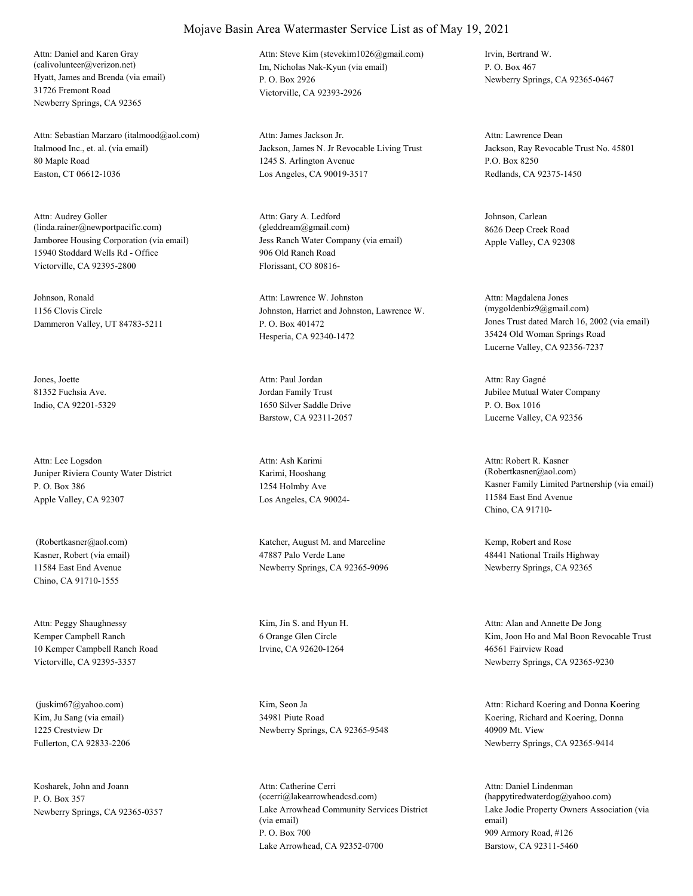Hyatt, James and Brenda (via email) 31726 Fremont Road Newberry Springs, CA 92365 Attn: Daniel and Karen Gray (calivolunteer@verizon.net) Im, Nicholas Nak-Kyun (via email)

Italmood Inc., et. al. (via email) 80 Maple Road Easton, CT 06612-1036 Attn: Sebastian Marzaro (italmood@aol.com)

Jamboree Housing Corporation (via email) 15940 Stoddard Wells Rd - Office Victorville, CA 92395-2800 Attn: Audrey Goller (linda.rainer@newportpacific.com)

Johnson, Ronald 1156 Clovis Circle Dammeron Valley, UT 84783-5211

Jones, Joette 81352 Fuchsia Ave. Indio, CA 92201-5329

Juniper Riviera County Water District P. O. Box 386 Apple Valley, CA 92307 Attn: Lee Logsdon

Kasner, Robert (via email) 11584 East End Avenue Chino, CA 91710-1555

Kemper Campbell Ranch 10 Kemper Campbell Ranch Road Victorville, CA 92395-3357 Attn: Peggy Shaughnessy Kim, Jin S. and Hyun H.

Kim, Ju Sang (via email) 1225 Crestview Dr Fullerton, CA 92833-2206 (juskim67@yahoo.com) Kim, Seon Ja

Kosharek, John and Joann P. O. Box 357

P. O. Box 2926 Victorville, CA 92393-2926 Attn: Steve Kim (stevekim1026@gmail.com) Irvin, Bertrand W.

Jackson, James N. Jr Revocable Living Trust 1245 S. Arlington Avenue Los Angeles, CA 90019-3517 Attn: James Jackson Jr.

Jess Ranch Water Company (via email) 906 Old Ranch Road Florissant, CO 80816- Attn: Gary A. Ledford (gleddream@gmail.com)

Johnston, Harriet and Johnston, Lawrence W. P. O. Box 401472 Hesperia, CA 92340-1472 Attn: Lawrence W. Johnston

Jordan Family Trust 1650 Silver Saddle Drive Barstow, CA 92311-2057 Attn: Paul Jordan

Karimi, Hooshang 1254 Holmby Ave Los Angeles, CA 90024- Attn: Ash Karimi

 (Robertkasner@aol.com) Katcher, August M. and Marceline 47887 Palo Verde Lane Newberry Springs, CA 92365-9096

> 6 Orange Glen Circle Irvine, CA 92620-1264

34981 Piute Road Newberry Springs, CA 92365-9548

Newberry Springs, CA 92365-0357 Lake Arrowhead Community Services District (via email) P. O. Box 700 Lake Arrowhead, CA 92352-0700 Attn: Catherine Cerri (ccerri@lakearrowheadcsd.com)

P. O. Box 467 Newberry Springs, CA 92365-0467

Jackson, Ray Revocable Trust No. 45801 P.O. Box 8250 Redlands, CA 92375-1450 Attn: Lawrence Dean

Johnson, Carlean 8626 Deep Creek Road Apple Valley, CA 92308

Jones Trust dated March 16, 2002 (via email) 35424 Old Woman Springs Road Lucerne Valley, CA 92356-7237 Attn: Magdalena Jones (mygoldenbiz9@gmail.com)

Jubilee Mutual Water Company P. O. Box 1016 Lucerne Valley, CA 92356 Attn: Ray Gagné

Kasner Family Limited Partnership (via email) 11584 East End Avenue Chino, CA 91710- Attn: Robert R. Kasner (Robertkasner@aol.com)

Kemp, Robert and Rose 48441 National Trails Highway Newberry Springs, CA 92365

Kim, Joon Ho and Mal Boon Revocable Trust 46561 Fairview Road Newberry Springs, CA 92365-9230 Attn: Alan and Annette De Jong

Koering, Richard and Koering, Donna 40909 Mt. View Newberry Springs, CA 92365-9414 Attn: Richard Koering and Donna Koering

Lake Jodie Property Owners Association (via email) 909 Armory Road, #126 Barstow, CA 92311-5460 Attn: Daniel Lindenman (happytiredwaterdog@yahoo.com)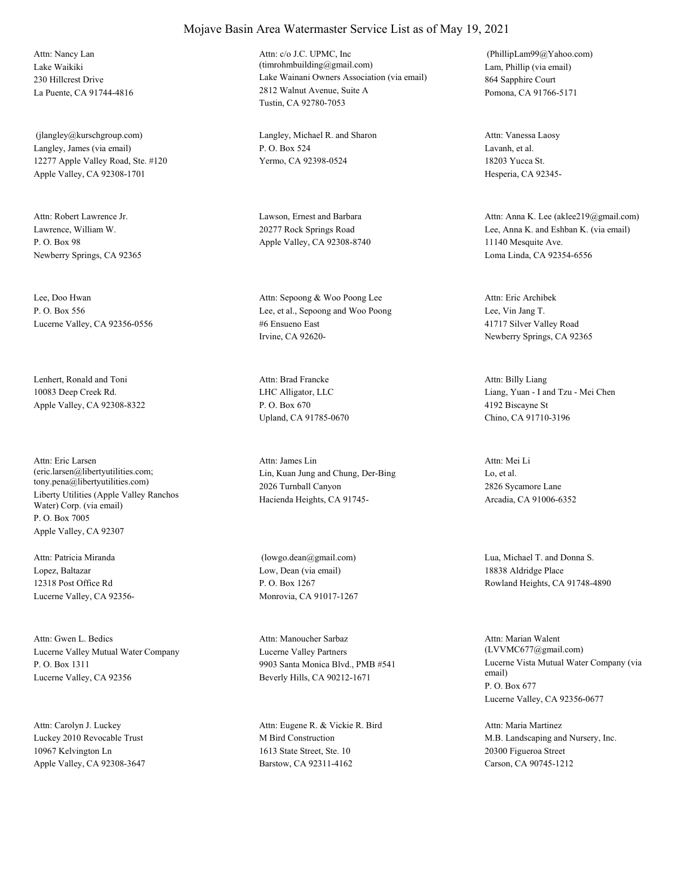Lake Waikiki 230 Hillcrest Drive La Puente, CA 91744-4816 Attn: Nancy Lan

Langley, James (via email) 12277 Apple Valley Road, Ste. #120 Apple Valley, CA 92308-1701 (jlangley@kurschgroup.com) Langley, Michael R. and Sharon

Lawrence, William W. P. O. Box 98 Newberry Springs, CA 92365 Attn: Robert Lawrence Jr. Lawson, Ernest and Barbara

Lee, Doo Hwan P. O. Box 556 Lucerne Valley, CA 92356-0556

Lenhert, Ronald and Toni 10083 Deep Creek Rd. Apple Valley, CA 92308-8322

Liberty Utilities (Apple Valley Ranchos Water) Corp. (via email) P. O. Box 7005 Apple Valley, CA 92307 Attn: Eric Larsen (eric.larsen@libertyutilities.com; tony.pena@libertyutilities.com)

Lopez, Baltazar 12318 Post Office Rd Lucerne Valley, CA 92356- Attn: Patricia Miranda

Lucerne Valley Mutual Water Company P. O. Box 1311 Lucerne Valley, CA 92356 Attn: Gwen L. Bedics

Luckey 2010 Revocable Trust 10967 Kelvington Ln Apple Valley, CA 92308-3647 Attn: Carolyn J. Luckey

#### Mojave Basin Area Watermaster Service List as of May 19, 2021

Lake Wainani Owners Association (via email) 2812 Walnut Avenue, Suite A Tustin, CA 92780-7053 Attn: c/o J.C. UPMC, Inc (timrohmbuilding@gmail.com) Lam, Phillip (via email)

P. O. Box 524 Yermo, CA 92398-0524

20277 Rock Springs Road Apple Valley, CA 92308-8740

Lee, et al., Sepoong and Woo Poong #6 Ensueno East Irvine, CA 92620- Attn: Sepoong & Woo Poong Lee

LHC Alligator, LLC P. O. Box 670 Upland, CA 91785-0670 Attn: Brad Francke

Lin, Kuan Jung and Chung, Der-Bing 2026 Turnball Canyon Hacienda Heights, CA 91745- Attn: James Lin

Low, Dean (via email) P. O. Box 1267 Monrovia, CA 91017-1267 (lowgo.dean@gmail.com) Lua, Michael T. and Donna S.

Lucerne Valley Partners 9903 Santa Monica Blvd., PMB #541 Beverly Hills, CA 90212-1671 Attn: Manoucher Sarbaz

M Bird Construction 1613 State Street, Ste. 10 Barstow, CA 92311-4162 Attn: Eugene R. & Vickie R. Bird 864 Sapphire Court Pomona, CA 91766-5171 (PhillipLam99@Yahoo.com)

Lavanh, et al. 18203 Yucca St. Hesperia, CA 92345- Attn: Vanessa Laosy

Lee, Anna K. and Eshban K. (via email) 11140 Mesquite Ave. Loma Linda, CA 92354-6556 Attn: Anna K. Lee (aklee219@gmail.com)

Lee, Vin Jang T. 41717 Silver Valley Road Newberry Springs, CA 92365 Attn: Eric Archibek

Liang, Yuan - I and Tzu - Mei Chen 4192 Biscayne St Chino, CA 91710-3196 Attn: Billy Liang

Lo, et al. 2826 Sycamore Lane Arcadia, CA 91006-6352 Attn: Mei Li

18838 Aldridge Place Rowland Heights, CA 91748-4890

Lucerne Vista Mutual Water Company (via email) P. O. Box 677 Lucerne Valley, CA 92356-0677 Attn: Marian Walent (LVVMC677@gmail.com)

M.B. Landscaping and Nursery, Inc. 20300 Figueroa Street Carson, CA 90745-1212 Attn: Maria Martinez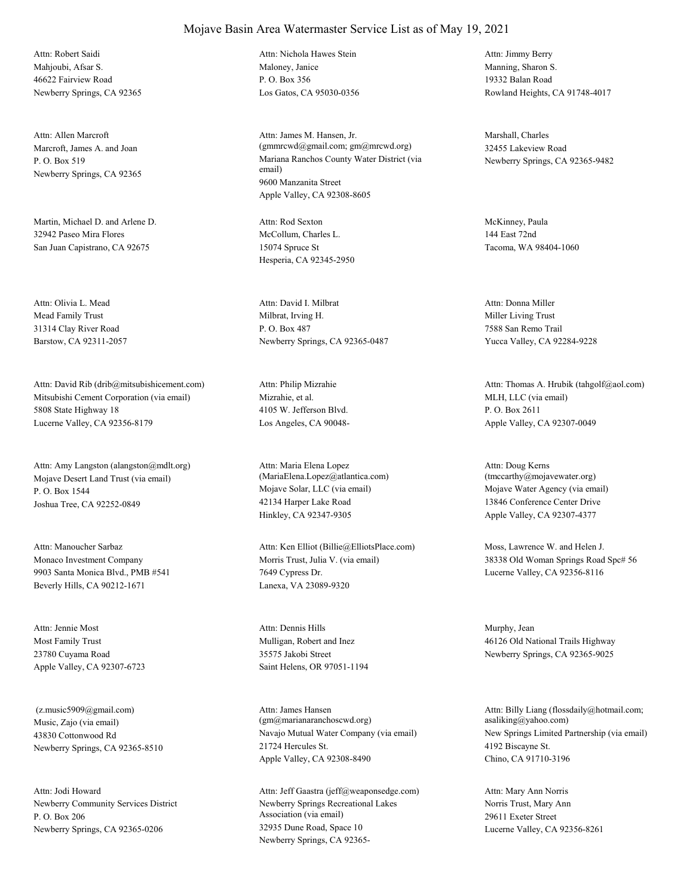Mahjoubi, Afsar S. 46622 Fairview Road Newberry Springs, CA 92365 Attn: Robert Saidi

Marcroft, James A. and Joan P. O. Box 519 Newberry Springs, CA 92365 Attn: Allen Marcroft

Martin, Michael D. and Arlene D. 32942 Paseo Mira Flores San Juan Capistrano, CA 92675

Mead Family Trust 31314 Clay River Road Barstow, CA 92311-2057 Attn: Olivia L. Mead

Mitsubishi Cement Corporation (via email) 5808 State Highway 18 Lucerne Valley, CA 92356-8179 Attn: David Rib (drib@mitsubishicement.com)

Mojave Desert Land Trust (via email) P. O. Box 1544 Joshua Tree, CA 92252-0849 Attn: Amy Langston (alangston@mdlt.org)

Monaco Investment Company 9903 Santa Monica Blvd., PMB #541 Beverly Hills, CA 90212-1671 Attn: Manoucher Sarbaz

Most Family Trust 23780 Cuyama Road Apple Valley, CA 92307-6723 Attn: Jennie Most

Music, Zajo (via email) 43830 Cottonwood Rd Newberry Springs, CA 92365-8510 (z.music5909@gmail.com)

Newberry Community Services District P. O. Box 206 Newberry Springs, CA 92365-0206 Attn: Jodi Howard

Maloney, Janice P. O. Box 356 Los Gatos, CA 95030-0356 Attn: Nichola Hawes Stein

Mariana Ranchos County Water District (via email) 9600 Manzanita Street Apple Valley, CA 92308-8605 Attn: James M. Hansen, Jr. (gmmrcwd@gmail.com; gm@mrcwd.org)

McCollum, Charles L. 15074 Spruce St Hesperia, CA 92345-2950 Attn: Rod Sexton McKinney, Paula

Milbrat, Irving H. P. O. Box 487 Newberry Springs, CA 92365-0487 Attn: David I. Milbrat

Mizrahie, et al. 4105 W. Jefferson Blvd. Los Angeles, CA 90048- Attn: Philip Mizrahie

Mojave Solar, LLC (via email) 42134 Harper Lake Road Hinkley, CA 92347-9305 Attn: Maria Elena Lopez (MariaElena.Lopez@atlantica.com)

Morris Trust, Julia V. (via email) 7649 Cypress Dr. Lanexa, VA 23089-9320 Attn: Ken Elliot (Billie@ElliotsPlace.com) Moss, Lawrence W. and Helen J.

Mulligan, Robert and Inez 35575 Jakobi Street Saint Helens, OR 97051-1194 Attn: Dennis Hills Murphy, Jean

Navajo Mutual Water Company (via email) 21724 Hercules St. Apple Valley, CA 92308-8490 Attn: James Hansen (gm@marianaranchoscwd.org)

Newberry Springs Recreational Lakes Association (via email) 32935 Dune Road, Space 10 Newberry Springs, CA 92365- Attn: Jeff Gaastra (jeff@weaponsedge.com) Manning, Sharon S. 19332 Balan Road Rowland Heights, CA 91748-4017 Attn: Jimmy Berry

Marshall, Charles 32455 Lakeview Road Newberry Springs, CA 92365-9482

144 East 72nd Tacoma, WA 98404-1060

Miller Living Trust 7588 San Remo Trail Yucca Valley, CA 92284-9228 Attn: Donna Miller

MLH, LLC (via email) P. O. Box 2611 Apple Valley, CA 92307-0049 Attn: Thomas A. Hrubik (tahgolf@aol.com)

Mojave Water Agency (via email) 13846 Conference Center Drive Apple Valley, CA 92307-4377 Attn: Doug Kerns (tmccarthy@mojavewater.org)

38338 Old Woman Springs Road Spc# 56 Lucerne Valley, CA 92356-8116

46126 Old National Trails Highway Newberry Springs, CA 92365-9025

New Springs Limited Partnership (via email) 4192 Biscayne St. Chino, CA 91710-3196 Attn: Billy Liang (flossdaily@hotmail.com; asaliking@yahoo.com)

Norris Trust, Mary Ann 29611 Exeter Street Lucerne Valley, CA 92356-8261 Attn: Mary Ann Norris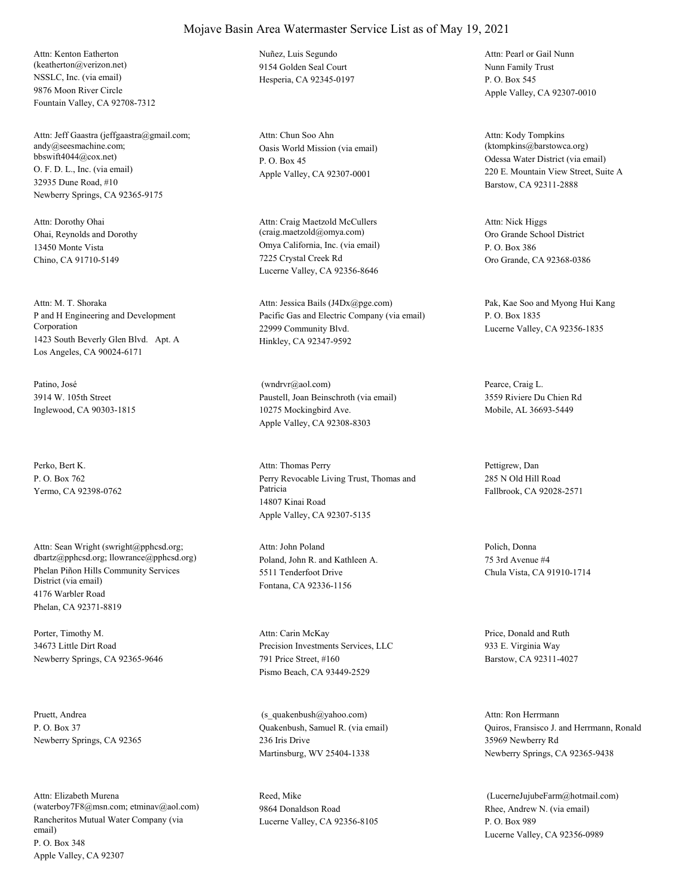NSSLC, Inc. (via email) 9876 Moon River Circle Fountain Valley, CA 92708-7312 Attn: Kenton Eatherton (keatherton@verizon.net)

O. F. D. L., Inc. (via email) 32935 Dune Road, #10 Newberry Springs, CA 92365-9175 Attn: Jeff Gaastra (jeffgaastra@gmail.com; andy@seesmachine.com; bbswift4044@cox.net)

Ohai, Reynolds and Dorothy 13450 Monte Vista Chino, CA 91710-5149 Attn: Dorothy Ohai

P and H Engineering and Development Corporation 1423 South Beverly Glen Blvd. Apt. A Los Angeles, CA 90024-6171 Attn: M. T. Shoraka

Patino, José 3914 W. 105th Street Inglewood, CA 90303-1815

Perko, Bert K. P. O. Box 762 Yermo, CA 92398-0762

Phelan Piñon Hills Community Services District (via email) 4176 Warbler Road Phelan, CA 92371-8819 Attn: Sean Wright (swright@pphcsd.org; dbartz@pphcsd.org; llowrance@pphcsd.org) Poland, John R. and Kathleen A.

Porter, Timothy M. 34673 Little Dirt Road Newberry Springs, CA 92365-9646

Pruett, Andrea P. O. Box 37 Newberry Springs, CA 92365

Rancheritos Mutual Water Company (via email) P. O. Box 348 Apple Valley, CA 92307 Attn: Elizabeth Murena (waterboy7F8@msn.com; etminav@aol.com) Nuñez, Luis Segundo 9154 Golden Seal Court Hesperia, CA 92345-0197

Oasis World Mission (via email) P. O. Box 45 Apple Valley, CA 92307-0001 Attn: Chun Soo Ahn

Omya California, Inc. (via email) 7225 Crystal Creek Rd Lucerne Valley, CA 92356-8646 Attn: Craig Maetzold McCullers (craig.maetzold@omya.com) Oro Grande School District

Pacific Gas and Electric Company (via email) 22999 Community Blvd. Hinkley, CA 92347-9592 Attn: Jessica Bails (J4Dx@pge.com) Pak, Kae Soo and Myong Hui Kang

Paustell, Joan Beinschroth (via email) 10275 Mockingbird Ave. Apple Valley, CA 92308-8303 (wndrvr@aol.com) Pearce, Craig L.

Perry Revocable Living Trust, Thomas and Patricia 14807 Kinai Road Apple Valley, CA 92307-5135 Attn: Thomas Perry Pettigrew, Dan

5511 Tenderfoot Drive Fontana, CA 92336-1156 Attn: John Poland Polich, Donna

Precision Investments Services, LLC 791 Price Street, #160 Pismo Beach, CA 93449-2529 Attn: Carin McKay Price, Donald and Ruth

Quakenbush, Samuel R. (via email) 236 Iris Drive Martinsburg, WV 25404-1338 (s\_quakenbush@yahoo.com)

Reed, Mike 9864 Donaldson Road Lucerne Valley, CA 92356-8105 Nunn Family Trust P. O. Box 545 Apple Valley, CA 92307-0010 Attn: Pearl or Gail Nunn

Odessa Water District (via email) 220 E. Mountain View Street, Suite A Barstow, CA 92311-2888 Attn: Kody Tompkins (ktompkins@barstowca.org)

P. O. Box 386 Oro Grande, CA 92368-0386 Attn: Nick Higgs

P. O. Box 1835 Lucerne Valley, CA 92356-1835

3559 Riviere Du Chien Rd Mobile, AL 36693-5449

285 N Old Hill Road Fallbrook, CA 92028-2571

75 3rd Avenue #4 Chula Vista, CA 91910-1714

933 E. Virginia Way Barstow, CA 92311-4027

Quiros, Fransisco J. and Herrmann, Ronald 35969 Newberry Rd Newberry Springs, CA 92365-9438 Attn: Ron Herrmann

Rhee, Andrew N. (via email) P. O. Box 989 Lucerne Valley, CA 92356-0989 (LucerneJujubeFarm@hotmail.com)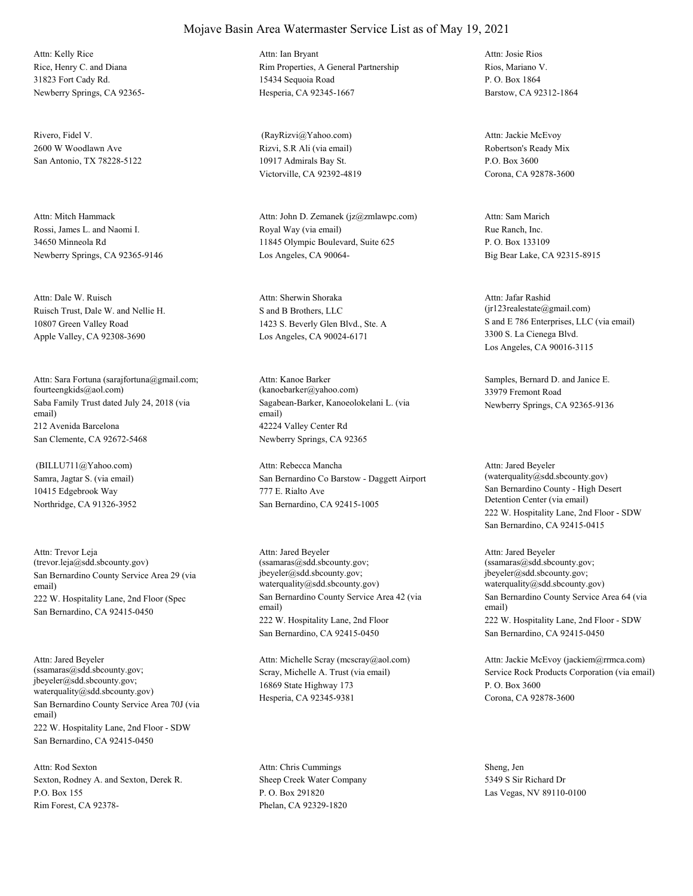Rice, Henry C. and Diana 31823 Fort Cady Rd. Newberry Springs, CA 92365- Attn: Kelly Rice

Rivero, Fidel V. 2600 W Woodlawn Ave San Antonio, TX 78228-5122

Rossi, James L. and Naomi I. 34650 Minneola Rd Newberry Springs, CA 92365-9146 Attn: Mitch Hammack

Ruisch Trust, Dale W. and Nellie H. 10807 Green Valley Road Apple Valley, CA 92308-3690 Attn: Dale W. Ruisch

Saba Family Trust dated July 24, 2018 (via email) 212 Avenida Barcelona San Clemente, CA 92672-5468 Attn: Sara Fortuna (sarajfortuna@gmail.com; fourteengkids@aol.com)

Samra, Jagtar S. (via email) 10415 Edgebrook Way Northridge, CA 91326-3952 (BILLU711@Yahoo.com)

San Bernardino County Service Area 29 (via email) 222 W. Hospitality Lane, 2nd Floor (Spec San Bernardino, CA 92415-0450 Attn: Trevor Leja (trevor.leja@sdd.sbcounty.gov)

San Bernardino County Service Area 70J (via email) 222 W. Hospitality Lane, 2nd Floor - SDW San Bernardino, CA 92415-0450 Attn: Jared Beyeler (ssamaras@sdd.sbcounty.gov; jbeyeler@sdd.sbcounty.gov; waterquality@sdd.sbcounty.gov)

Sexton, Rodney A. and Sexton, Derek R. P.O. Box 155 Rim Forest, CA 92378- Attn: Rod Sexton

#### Rim Properties, A General Partnership 15434 Sequoia Road Attn: Ian Bryant

Mojave Basin Area Watermaster Service List as of May 19, 2021

Rizvi, S.R Ali (via email) 10917 Admirals Bay St. Victorville, CA 92392-4819 (RayRizvi@Yahoo.com)

Hesperia, CA 92345-1667

Royal Way (via email) 11845 Olympic Boulevard, Suite 625 Los Angeles, CA 90064- Attn: John D. Zemanek (jz@zmlawpc.com)

S and B Brothers, LLC 1423 S. Beverly Glen Blvd., Ste. A Los Angeles, CA 90024-6171 Attn: Sherwin Shoraka

Sagabean-Barker, Kanoeolokelani L. (via email) 42224 Valley Center Rd Newberry Springs, CA 92365 Attn: Kanoe Barker (kanoebarker@yahoo.com)

San Bernardino Co Barstow - Daggett Airport 777 E. Rialto Ave San Bernardino, CA 92415-1005 Attn: Rebecca Mancha

San Bernardino County Service Area 42 (via email) 222 W. Hospitality Lane, 2nd Floor San Bernardino, CA 92415-0450 Attn: Jared Beyeler (ssamaras@sdd.sbcounty.gov; jbeyeler@sdd.sbcounty.gov; waterquality@sdd.sbcounty.gov)

Scray, Michelle A. Trust (via email) 16869 State Highway 173 Hesperia, CA 92345-9381 Attn: Michelle Scray (mcscray@aol.com)

Sheep Creek Water Company P. O. Box 291820 Phelan, CA 92329-1820 Attn: Chris Cummings Sheng, Jen

Rios, Mariano V. P. O. Box 1864 Barstow, CA 92312-1864 Attn: Josie Rios

Robertson's Ready Mix P.O. Box 3600 Corona, CA 92878-3600 Attn: Jackie McEvoy

Rue Ranch, Inc. P. O. Box 133109 Big Bear Lake, CA 92315-8915 Attn: Sam Marich

S and E 786 Enterprises, LLC (via email) 3300 S. La Cienega Blvd. Los Angeles, CA 90016-3115 Attn: Jafar Rashid (jr123realestate@gmail.com)

Samples, Bernard D. and Janice E. 33979 Fremont Road Newberry Springs, CA 92365-9136

San Bernardino County - High Desert Detention Center (via email) 222 W. Hospitality Lane, 2nd Floor - SDW San Bernardino, CA 92415-0415 Attn: Jared Beyeler (waterquality@sdd.sbcounty.gov)

San Bernardino County Service Area 64 (via email) 222 W. Hospitality Lane, 2nd Floor - SDW San Bernardino, CA 92415-0450 Attn: Jared Beyeler (ssamaras@sdd.sbcounty.gov; jbeyeler@sdd.sbcounty.gov; waterquality@sdd.sbcounty.gov)

Service Rock Products Corporation (via email) P. O. Box 3600 Corona, CA 92878-3600 Attn: Jackie McEvoy (jackiem@rrmca.com)

5349 S Sir Richard Dr Las Vegas, NV 89110-0100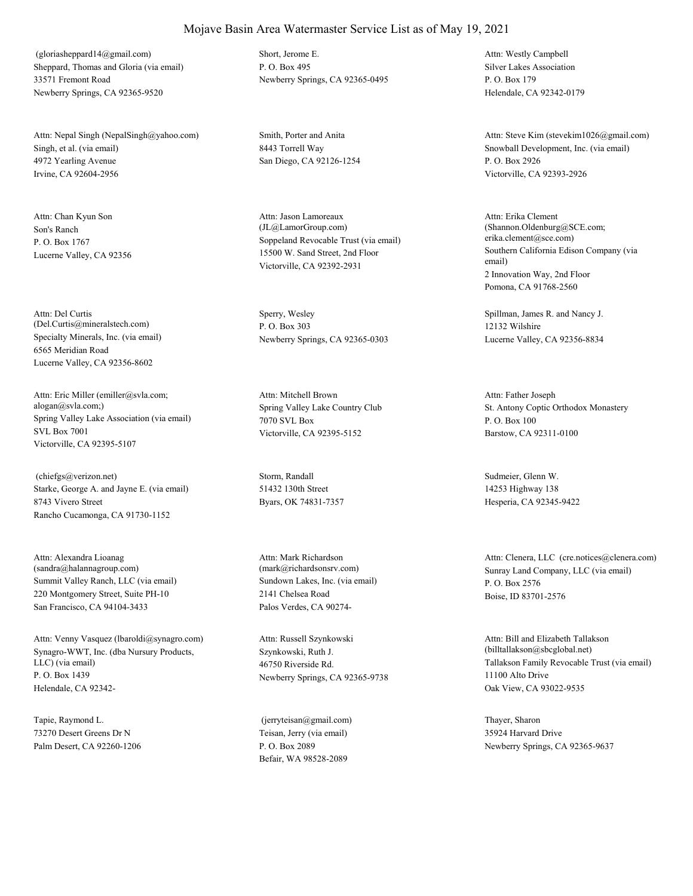Sheppard, Thomas and Gloria (via email) 33571 Fremont Road Newberry Springs, CA 92365-9520 (gloriasheppard14@gmail.com) Short, Jerome E.

Singh, et al. (via email) 4972 Yearling Avenue Irvine, CA 92604-2956 Attn: Nepal Singh (NepalSingh@yahoo.com) Smith, Porter and Anita

Son's Ranch P. O. Box 1767 Lucerne Valley, CA 92356 Attn: Chan Kyun Son

Specialty Minerals, Inc. (via email) 6565 Meridian Road Lucerne Valley, CA 92356-8602 Attn: Del Curtis (Del.Curtis@mineralstech.com)

Spring Valley Lake Association (via email) SVL Box 7001 Victorville, CA 92395-5107 Attn: Eric Miller (emiller@svla.com; alogan@svla.com;) Spring Valley Lake Country Club

Starke, George A. and Jayne E. (via email) 8743 Vivero Street Rancho Cucamonga, CA 91730-1152 (chiefgs@verizon.net) Storm, Randall

Summit Valley Ranch, LLC (via email) 220 Montgomery Street, Suite PH-10 San Francisco, CA 94104-3433 Attn: Alexandra Lioanag (sandra@halannagroup.com)

Synagro-WWT, Inc. (dba Nursury Products, LLC) (via email) P. O. Box 1439 Helendale, CA 92342- Attn: Venny Vasquez (lbaroldi@synagro.com)

Tapie, Raymond L. 73270 Desert Greens Dr N Palm Desert, CA 92260-1206 P. O. Box 495 Newberry Springs, CA 92365-0495

8443 Torrell Way San Diego, CA 92126-1254

Soppeland Revocable Trust (via email) 15500 W. Sand Street, 2nd Floor Victorville, CA 92392-2931 Attn: Jason Lamoreaux (JL@LamorGroup.com)

Sperry, Wesley P. O. Box 303 Newberry Springs, CA 92365-0303

7070 SVL Box Victorville, CA 92395-5152 Attn: Mitchell Brown

51432 130th Street Byars, OK 74831-7357

Sundown Lakes, Inc. (via email) 2141 Chelsea Road Palos Verdes, CA 90274- Attn: Mark Richardson

Szynkowski, Ruth J. 46750 Riverside Rd. Newberry Springs, CA 92365-9738 Attn: Russell Szynkowski

Teisan, Jerry (via email) P. O. Box 2089 Befair, WA 98528-2089 (jerryteisan@gmail.com) Thayer, Sharon

Silver Lakes Association P. O. Box 179 Helendale, CA 92342-0179 Attn: Westly Campbell

Snowball Development, Inc. (via email) P. O. Box 2926 Victorville, CA 92393-2926 Attn: Steve Kim (stevekim1026@gmail.com)

Southern California Edison Company (via email) 2 Innovation Way, 2nd Floor Pomona, CA 91768-2560 Attn: Erika Clement (Shannon.Oldenburg@SCE.com; erika.clement@sce.com)

Spillman, James R. and Nancy J. 12132 Wilshire Lucerne Valley, CA 92356-8834

St. Antony Coptic Orthodox Monastery P. O. Box 100 Barstow, CA 92311-0100 Attn: Father Joseph

Sudmeier, Glenn W. 14253 Highway 138 Hesperia, CA 92345-9422

(mark@richardsonsrv.com) Sunray Land Company, LLC (via email) P. O. Box 2576 Boise, ID 83701-2576 Attn: Clenera, LLC (cre.notices@clenera.com)

> Tallakson Family Revocable Trust (via email) 11100 Alto Drive Oak View, CA 93022-9535 Attn: Bill and Elizabeth Tallakson (billtallakson@sbcglobal.net)

35924 Harvard Drive Newberry Springs, CA 92365-9637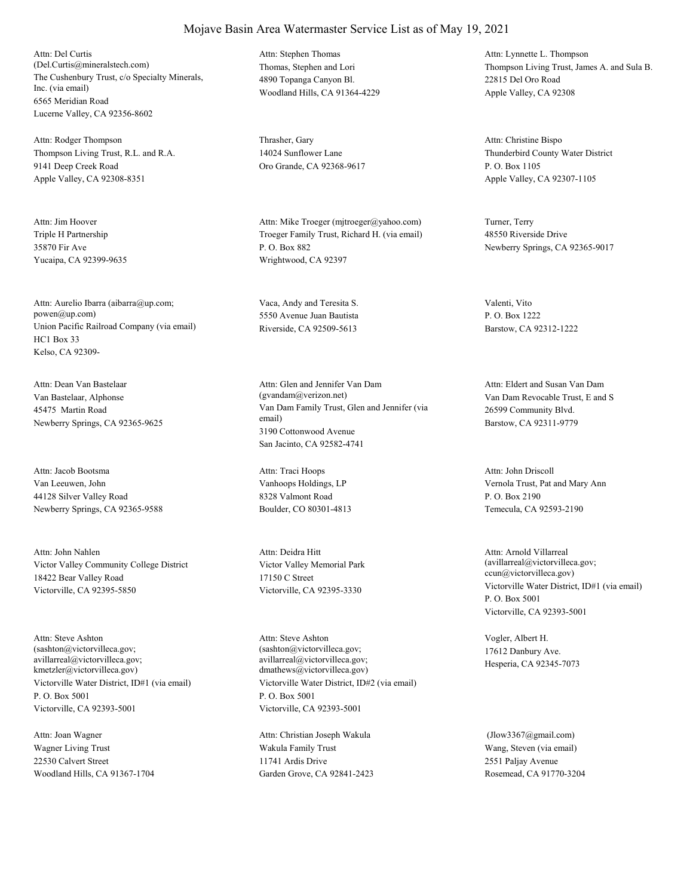The Cushenbury Trust, c/o Specialty Minerals, Inc. (via email) 6565 Meridian Road Lucerne Valley, CA 92356-8602 Attn: Del Curtis (Del.Curtis@mineralstech.com) Thomas, Stephen and Lori

Thompson Living Trust, R.L. and R.A. 9141 Deep Creek Road Apple Valley, CA 92308-8351 Attn: Rodger Thompson Thrasher, Gary

Triple H Partnership 35870 Fir Ave Yucaipa, CA 92399-9635 Attn: Jim Hoover

Union Pacific Railroad Company (via email) HC1 Box 33 Kelso, CA 92309- Attn: Aurelio Ibarra (aibarra@up.com; powen@up.com)

Van Bastelaar, Alphonse 45475 Martin Road Newberry Springs, CA 92365-9625 Attn: Dean Van Bastelaar

Van Leeuwen, John 44128 Silver Valley Road Newberry Springs, CA 92365-9588 Attn: Jacob Bootsma

Victor Valley Community College District 18422 Bear Valley Road Victorville, CA 92395-5850 Attn: John Nahlen

Victorville Water District, ID#1 (via email) P. O. Box 5001 Victorville, CA 92393-5001 Attn: Steve Ashton (sashton@victorvilleca.gov; avillarreal@victorvilleca.gov; kmetzler@victorvilleca.gov)

Wagner Living Trust 22530 Calvert Street Woodland Hills, CA 91367-1704 Attn: Joan Wagner

4890 Topanga Canyon Bl. Woodland Hills, CA 91364-4229 Attn: Stephen Thomas

14024 Sunflower Lane Oro Grande, CA 92368-9617

Troeger Family Trust, Richard H. (via email) P. O. Box 882 Wrightwood, CA 92397 Attn: Mike Troeger (mjtroeger@yahoo.com) Turner, Terry

Vaca, Andy and Teresita S. 5550 Avenue Juan Bautista Riverside, CA 92509-5613

Van Dam Family Trust, Glen and Jennifer (via email) 3190 Cottonwood Avenue San Jacinto, CA 92582-4741 Attn: Glen and Jennifer Van Dam (gvandam@verizon.net) Van Dam Revocable Trust, E and S

Vanhoops Holdings, LP 8328 Valmont Road Boulder, CO 80301-4813 Attn: Traci Hoops

Victor Valley Memorial Park 17150 C Street Victorville, CA 92395-3330 Attn: Deidra Hitt

Victorville Water District, ID#2 (via email) P. O. Box 5001 Victorville, CA 92393-5001 Attn: Steve Ashton (sashton@victorvilleca.gov; avillarreal@victorvilleca.gov; dmathews@victorvilleca.gov)

Wakula Family Trust 11741 Ardis Drive Garden Grove, CA 92841-2423 Attn: Christian Joseph Wakula

Thompson Living Trust, James A. and Sula B. 22815 Del Oro Road Apple Valley, CA 92308 Attn: Lynnette L. Thompson

Thunderbird County Water District P. O. Box 1105 Apple Valley, CA 92307-1105 Attn: Christine Bispo

48550 Riverside Drive Newberry Springs, CA 92365-9017

Valenti, Vito P. O. Box 1222 Barstow, CA 92312-1222

26599 Community Blvd. Barstow, CA 92311-9779 Attn: Eldert and Susan Van Dam

Vernola Trust, Pat and Mary Ann P. O. Box 2190 Temecula, CA 92593-2190 Attn: John Driscoll

Victorville Water District, ID#1 (via email) P. O. Box 5001 Victorville, CA 92393-5001 Attn: Arnold Villarreal (avillarreal@victorvilleca.gov; ccun@victorvilleca.gov)

Vogler, Albert H. 17612 Danbury Ave. Hesperia, CA 92345-7073

Wang, Steven (via email) 2551 Paljay Avenue Rosemead, CA 91770-3204 (Jlow3367@gmail.com)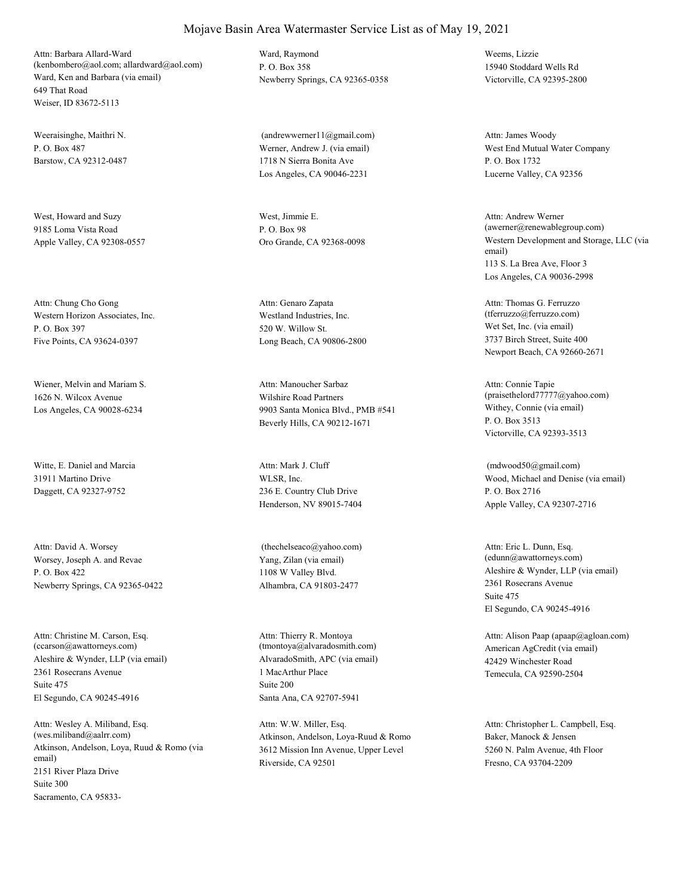Ward, Ken and Barbara (via email) 649 That Road Weiser, ID 83672-5113 Attn: Barbara Allard-Ward (kenbombero@aol.com; allardward@aol.com)

Weeraisinghe, Maithri N.  $P$ . O. Box 487 Barstow, CA 92312-0487

West, Howard and Suzy 9185 Loma Vista Road Apple Valley, CA 92308-0557

Western Horizon Associates, Inc. P. O. Box 397 Five Points, CA 93624-0397 Attn: Chung Cho Gong

Wiener, Melvin and Mariam S. 1626 N. Wilcox Avenue Los Angeles, CA 90028-6234

Witte, E. Daniel and Marcia 31911 Martino Drive Daggett, CA 92327-9752

Worsey, Joseph A. and Revae P. O. Box 422 Newberry Springs, CA 92365-0422 Attn: David A. Worsey

Aleshire & Wynder, LLP (via email) 2361 Rosecrans Avenue El Segundo, CA 90245-4916 Attn: Christine M. Carson, Esq. (ccarson@awattorneys.com) Suite 475

Atkinson, Andelson, Loya, Ruud & Romo (via email) 2151 River Plaza Drive Sacramento, CA 95833- Attn: Wesley A. Miliband, Esq. (wes.miliband@aalrr.com) Suite 300

Ward, Raymond P. O. Box 358 Newberry Springs, CA 92365-0358

Werner, Andrew J. (via email) 1718 N Sierra Bonita Ave Los Angeles, CA 90046-2231 (andrewwerner11@gmail.com)

West, Jimmie E. P. O. Box 98

Westland Industries, Inc. 520 W. Willow St. Long Beach, CA 90806-2800 Attn: Genaro Zapata

Wilshire Road Partners 9903 Santa Monica Blvd., PMB #541 Beverly Hills, CA 90212-1671 Attn: Manoucher Sarbaz

WLSR, Inc. 236 E. Country Club Drive Henderson, NV 89015-7404 Attn: Mark J. Cluff

Yang, Zilan (via email) 1108 W Valley Blvd. Alhambra, CA 91803-2477 (thechelseaco@yahoo.com)

AlvaradoSmith, APC (via email) 1 MacArthur Place Santa Ana, CA 92707-5941 Attn: Thierry R. Montoya (tmontoya@alvaradosmith.com) Suite 200

Atkinson, Andelson, Loya-Ruud & Romo 3612 Mission Inn Avenue, Upper Level Riverside, CA 92501 Attn: W.W. Miller, Esq.

Weems, Lizzie 15940 Stoddard Wells Rd Victorville, CA 92395-2800

West End Mutual Water Company P. O. Box 1732 Lucerne Valley, CA 92356 Attn: James Woody

Oro Grande, CA 92368-0098 Western Development and Storage, LLC (via email) 113 S. La Brea Ave, Floor 3 Los Angeles, CA 90036-2998 Attn: Andrew Werner (awerner@renewablegroup.com)

> Wet Set, Inc. (via email) 3737 Birch Street, Suite 400 Newport Beach, CA 92660-2671 Attn: Thomas G. Ferruzzo (tferruzzo@ferruzzo.com)

Withey, Connie (via email) P. O. Box 3513 Victorville, CA 92393-3513 Attn: Connie Tapie (praisethelord77777@yahoo.com)

Wood, Michael and Denise (via email) P. O. Box 2716 Apple Valley, CA 92307-2716 (mdwood50@gmail.com)

Aleshire & Wynder, LLP (via email) 2361 Rosecrans Avenue El Segundo, CA 90245-4916 Attn: Eric L. Dunn, Esq. (edunn@awattorneys.com) Suite 475

American AgCredit (via email) 42429 Winchester Road Temecula, CA 92590-2504 Attn: Alison Paap (apaap@agloan.com)

Baker, Manock & Jensen 5260 N. Palm Avenue, 4th Floor Fresno, CA 93704-2209 Attn: Christopher L. Campbell, Esq.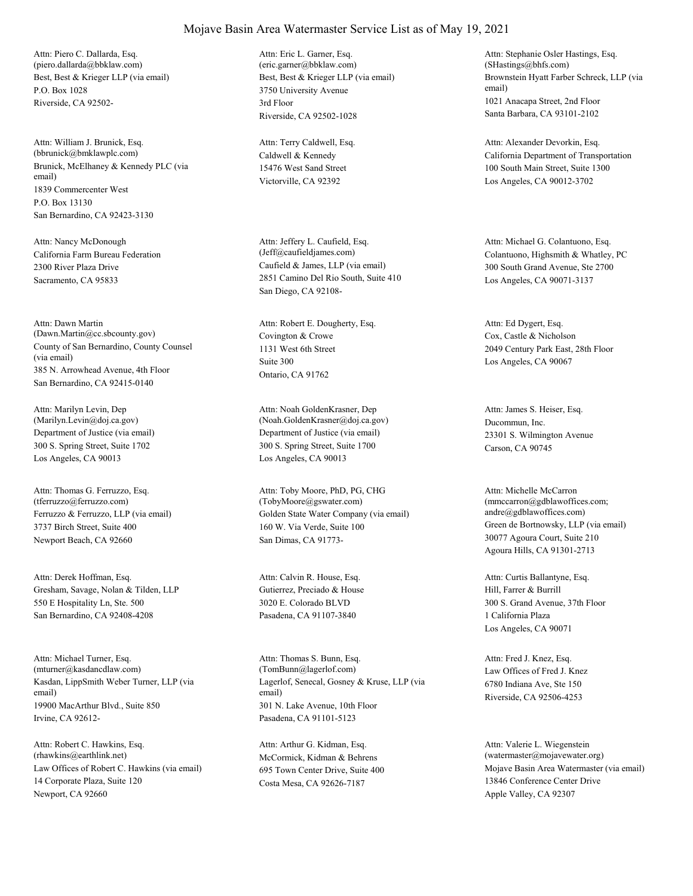Best, Best & Krieger LLP (via email) P.O. Box 1028 Riverside, CA 92502- Attn: Piero C. Dallarda, Esq. (piero.dallarda@bbklaw.com)

Brunick, McElhaney & Kennedy PLC (via email) 1839 Commercenter West San Bernardino, CA 92423-3130 Attn: William J. Brunick, Esq. (bbrunick@bmklawplc.com) P.O. Box 13130

California Farm Bureau Federation 2300 River Plaza Drive Sacramento, CA 95833 Attn: Nancy McDonough

County of San Bernardino, County Counsel (via email) 385 N. Arrowhead Avenue, 4th Floor San Bernardino, CA 92415-0140 Attn: Dawn Martin (Dawn.Martin@cc.sbcounty.gov) Covington & Crowe

Department of Justice (via email) 300 S. Spring Street, Suite 1702 Los Angeles, CA 90013 Attn: Marilyn Levin, Dep (Marilyn.Levin@doj.ca.gov)

Ferruzzo & Ferruzzo, LLP (via email) 3737 Birch Street, Suite 400 Newport Beach, CA 92660 Attn: Thomas G. Ferruzzo, Esq. (tferruzzo@ferruzzo.com)

Gresham, Savage, Nolan & Tilden, LLP 550 E Hospitality Ln, Ste. 500 San Bernardino, CA 92408-4208 Attn: Derek Hoffman, Esq.

Kasdan, LippSmith Weber Turner, LLP (via email) 19900 MacArthur Blvd., Suite 850 Irvine, CA 92612- Attn: Michael Turner, Esq. (mturner@kasdancdlaw.com)

Law Offices of Robert C. Hawkins (via email) 14 Corporate Plaza, Suite 120 Newport, CA 92660 Attn: Robert C. Hawkins, Esq. (rhawkins@earthlink.net) McCormick, Kidman & Behrens

Best, Best & Krieger LLP (via email) 3750 University Avenue Riverside, CA 92502-1028 Attn: Eric L. Garner, Esq. (eric.garner@bbklaw.com) 3rd Floor

Caldwell & Kennedy 15476 West Sand Street Victorville, CA 92392 Attn: Terry Caldwell, Esq.

Caufield & James, LLP (via email) 2851 Camino Del Rio South, Suite 410 San Diego, CA 92108- Attn: Jeffery L. Caufield, Esq.

1131 West 6th Street Ontario, CA 91762 Attn: Robert E. Dougherty, Esq. Suite 300

Department of Justice (via email) 300 S. Spring Street, Suite 1700 Los Angeles, CA 90013 Attn: Noah GoldenKrasner, Dep (Noah.GoldenKrasner@doj.ca.gov) Ducommun, Inc.

Golden State Water Company (via email) 160 W. Via Verde, Suite 100 San Dimas, CA 91773- Attn: Toby Moore, PhD, PG, CHG (TobyMoore@gswater.com)

Gutierrez, Preciado & House 3020 E. Colorado BLVD Pasadena, CA 91107-3840 Attn: Calvin R. House, Esq.

Lagerlof, Senecal, Gosney & Kruse, LLP (via email) 301 N. Lake Avenue, 10th Floor Pasadena, CA 91101-5123 Attn: Thomas S. Bunn, Esq. (TomBunn@lagerlof.com) Law Offices of Fred J. Knez

695 Town Center Drive, Suite 400 Costa Mesa, CA 92626-7187 Attn: Arthur G. Kidman, Esq.

Brownstein Hyatt Farber Schreck, LLP (via email) 1021 Anacapa Street, 2nd Floor Santa Barbara, CA 93101-2102 Attn: Stephanie Osler Hastings, Esq. (SHastings@bhfs.com)

California Department of Transportation 100 South Main Street, Suite 1300 Los Angeles, CA 90012-3702 Attn: Alexander Devorkin, Esq.

(Jeff@caufieldjames.com) Colantuono, Highsmith & Whatley, PC 300 South Grand Avenue, Ste 2700 Los Angeles, CA 90071-3137 Attn: Michael G. Colantuono, Esq.

> Cox, Castle & Nicholson 2049 Century Park East, 28th Floor Los Angeles, CA 90067 Attn: Ed Dygert, Esq.

23301 S. Wilmington Avenue Carson, CA 90745 Attn: James S. Heiser, Esq.

Green de Bortnowsky, LLP (via email) 30077 Agoura Court, Suite 210 Agoura Hills, CA 91301-2713 Attn: Michelle McCarron (mmccarron@gdblawoffices.com; andre@gdblawoffices.com)

Hill, Farrer & Burrill 300 S. Grand Avenue, 37th Floor Los Angeles, CA 90071 Attn: Curtis Ballantyne, Esq. 1 California Plaza

6780 Indiana Ave, Ste 150 Riverside, CA 92506-4253 Attn: Fred J. Knez, Esq.

Mojave Basin Area Watermaster (via email) 13846 Conference Center Drive Apple Valley, CA 92307 Attn: Valerie L. Wiegenstein (watermaster@mojavewater.org)